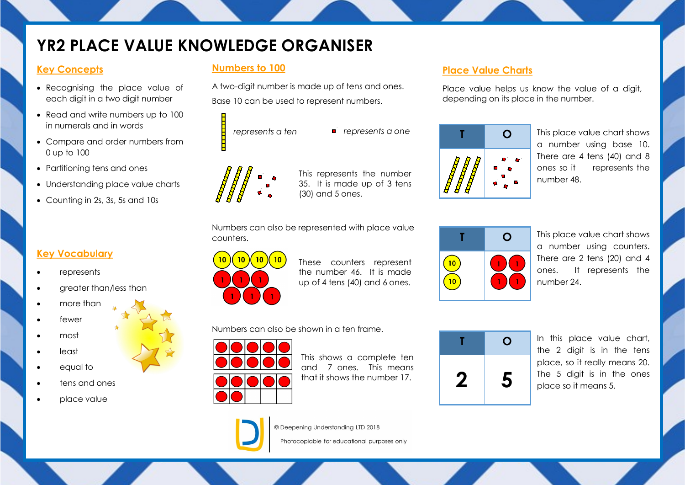# **YR2 PLACE VALUE KNOWLEDGE ORGANISER**

#### **Key Concepts**

- Recognising the place value of each digit in a two digit number
- Read and write numbers up to 100 in numerals and in words
- Compare and order numbers from 0 up to 100
- Partitioning tens and ones
- Understanding place value charts
- Counting in 2s, 3s, 5s and 10s

## **Numbers to 100**

A two-digit number is made up of tens and ones. Base 10 can be used to represent numbers.

- *represents a ten represents a one*
- - This represents the number 35. It is made up of 3 tens (30) and 5 ones.

Numbers can also be represented with place value counters.



These counters represent the number 46. It is made up of 4 tens (40) and 6 ones.

Numbers can also be shown in a ten frame.



|   | $\mathbf O$ |
|---|-------------|
| 2 | 5           |

In this place value chart, the 2 digit is in the tens place, so it really means 20. The 5 digit is in the ones place so it means 5.

## **Place Value Charts**

Place value helps us know the value of a digit, depending on its place in the number.



This place value chart shows a number using base 10. There are 4 tens (40) and 8 ones so it represents the number 48.

This place value chart shows a number using counters. There are 2 tens (20) and 4 ones. It represents the

number 24.





This shows a complete ten and 7 ones. This means that it shows the number 17.



© Deepening Understanding LTD 2018

Photocopiable for educational purposes only

**Key Vocabulary**

- represents
- greater than/less than
- more than
- fewer
	- most
- least
- equal to
- tens and ones
- place value